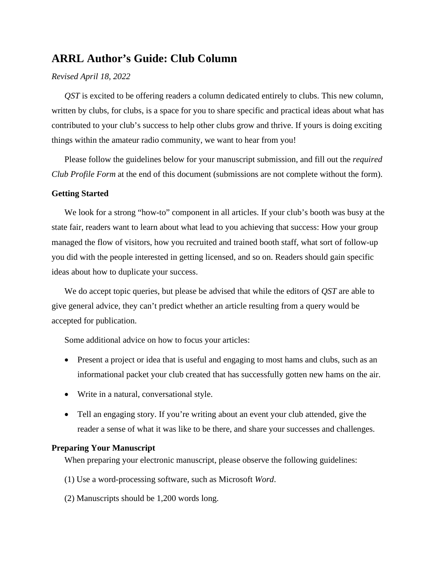# **ARRL Author's Guide: Club Column**

#### *Revised April 18, 2022*

*QST* is excited to be offering readers a column dedicated entirely to clubs. This new column, written by clubs, for clubs, is a space for you to share specific and practical ideas about what has contributed to your club's success to help other clubs grow and thrive. If yours is doing exciting things within the amateur radio community, we want to hear from you!

Please follow the guidelines below for your manuscript submission, and fill out the *required Club Profile Form* at the end of this document (submissions are not complete without the form).

#### **Getting Started**

We look for a strong "how-to" component in all articles. If your club's booth was busy at the state fair, readers want to learn about what lead to you achieving that success: How your group managed the flow of visitors, how you recruited and trained booth staff, what sort of follow-up you did with the people interested in getting licensed, and so on. Readers should gain specific ideas about how to duplicate your success.

We do accept topic queries, but please be advised that while the editors of *QST* are able to give general advice, they can't predict whether an article resulting from a query would be accepted for publication.

Some additional advice on how to focus your articles:

- Present a project or idea that is useful and engaging to most hams and clubs, such as an informational packet your club created that has successfully gotten new hams on the air.
- Write in a natural, conversational style.
- Tell an engaging story. If you're writing about an event your club attended, give the reader a sense of what it was like to be there, and share your successes and challenges.

#### **Preparing Your Manuscript**

When preparing your electronic manuscript, please observe the following guidelines:

- (1) Use a word-processing software, such as Microsoft *Word*.
- (2) Manuscripts should be 1,200 words long.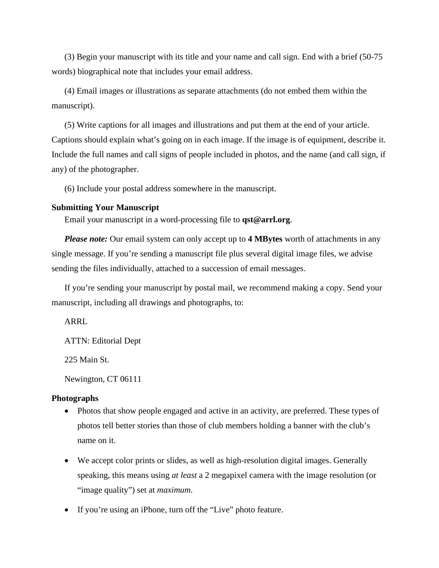(3) Begin your manuscript with its title and your name and call sign. End with a brief (50-75 words) biographical note that includes your email address.

(4) Email images or illustrations as separate attachments (do not embed them within the manuscript).

(5) Write captions for all images and illustrations and put them at the end of your article. Captions should explain what's going on in each image. If the image is of equipment, describe it. Include the full names and call signs of people included in photos, and the name (and call sign, if any) of the photographer.

(6) Include your postal address somewhere in the manuscript.

#### **Submitting Your Manuscript**

Email your manuscript in a word-processing file to **qst@arrl.org**.

*Please note:* Our email system can only accept up to **4 MBytes** worth of attachments in any single message. If you're sending a manuscript file plus several digital image files, we advise sending the files individually, attached to a succession of email messages.

If you're sending your manuscript by postal mail, we recommend making a copy. Send your manuscript, including all drawings and photographs, to:

ARRL

ATTN: Editorial Dept

225 Main St.

Newington, CT 06111

### **Photographs**

- Photos that show people engaged and active in an activity, are preferred. These types of photos tell better stories than those of club members holding a banner with the club's name on it.
- We accept color prints or slides, as well as high-resolution digital images. Generally speaking, this means using *at least* a 2 megapixel camera with the image resolution (or "image quality") set at *maximum*.
- If you're using an iPhone, turn off the "Live" photo feature.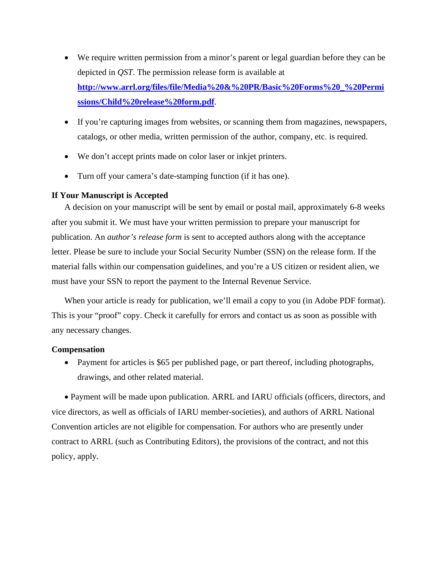- We require written permission from a minor's parent or legal guardian before they can be depicted in *QST*. The permission release form is available at **[http://www.arrl.org/files/file/Media%20&%20PR/Basic%20Forms%20\\_%20Permi](http://www.arrl.org/files/file/Media%20&%20PR/Basic%20Forms%20_%20Permissions/Child%20release%20form.pdf) [ssions/Child%20release%20form.pdf](http://www.arrl.org/files/file/Media%20&%20PR/Basic%20Forms%20_%20Permissions/Child%20release%20form.pdf)**.
- If you're capturing images from websites, or scanning them from magazines, newspapers, catalogs, or other media, written permission of the author, company, etc. is required.
- We don't accept prints made on color laser or inkjet printers.
- Turn off your camera's date-stamping function (if it has one).

## **If Your Manuscript is Accepted**

A decision on your manuscript will be sent by email or postal mail, approximately 6-8 weeks after you submit it. We must have your written permission to prepare your manuscript for publication. An *author's release form* is sent to accepted authors along with the acceptance letter. Please be sure to include your Social Security Number (SSN) on the release form. If the material falls within our compensation guidelines, and you're a US citizen or resident alien, we must have your SSN to report the payment to the Internal Revenue Service.

When your article is ready for publication, we'll email a copy to you (in Adobe PDF format). This is your "proof" copy. Check it carefully for errors and contact us as soon as possible with any necessary changes.

#### **Compensation**

• Payment for articles is \$65 per published page, or part thereof, including photographs, drawings, and other related material.

• Payment will be made upon publication. ARRL and IARU officials (officers, directors, and vice directors, as well as officials of IARU member-societies), and authors of ARRL National Convention articles are not eligible for compensation. For authors who are presently under contract to ARRL (such as Contributing Editors), the provisions of the contract, and not this policy, apply.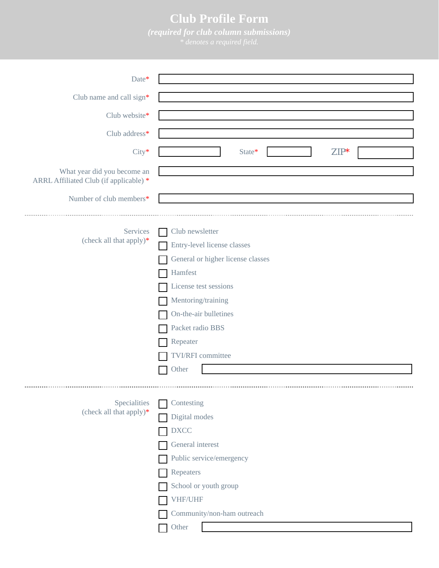# **Club Profile Form**

*(required for club column submissions)* 

| Date*                                                                 |                                                                                                                                                                                                                                             |
|-----------------------------------------------------------------------|---------------------------------------------------------------------------------------------------------------------------------------------------------------------------------------------------------------------------------------------|
| Club name and call sign*                                              |                                                                                                                                                                                                                                             |
| Club website*                                                         |                                                                                                                                                                                                                                             |
| Club address*                                                         |                                                                                                                                                                                                                                             |
| City*                                                                 | $ZIP^*$<br>State*                                                                                                                                                                                                                           |
| What year did you become an<br>ARRL Affiliated Club (if applicable) * |                                                                                                                                                                                                                                             |
| Number of club members*                                               |                                                                                                                                                                                                                                             |
| Services<br>(check all that apply)*                                   | Club newsletter<br>Entry-level license classes<br>General or higher license classes<br>Hamfest<br>License test sessions<br>Mentoring/training<br>On-the-air bulletines<br>Packet radio BBS<br>Repeater<br><b>TVI/RFI</b> committee<br>Other |
| Specialities<br>(check all that apply)*                               | Contesting<br>Digital modes<br><b>DXCC</b><br>General interest<br>Public service/emergency<br>Repeaters<br>School or youth group<br>VHF/UHF<br>Community/non-ham outreach<br>Other                                                          |